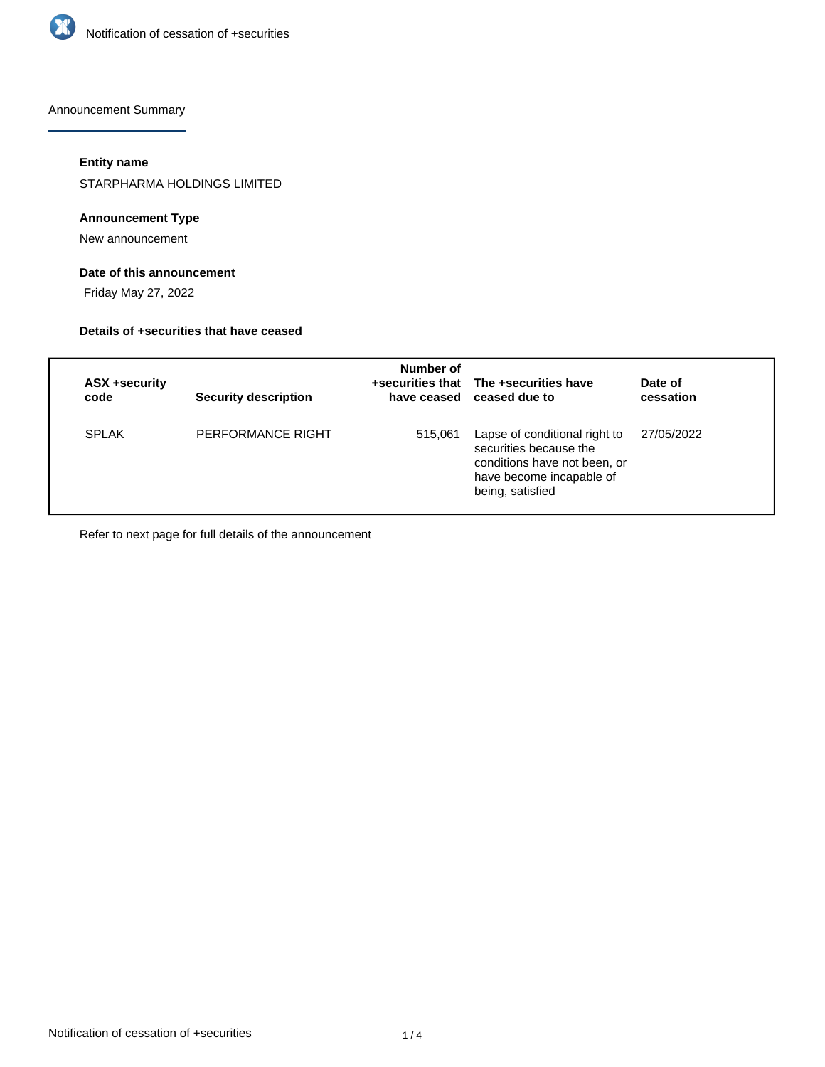

Announcement Summary

### **Entity name**

STARPHARMA HOLDINGS LIMITED

### **Announcement Type**

New announcement

## **Date of this announcement**

Friday May 27, 2022

#### **Details of +securities that have ceased**

| ASX +security<br>code | <b>Security description</b> | Number of | +securities that The +securities have<br>have ceased ceased due to                                                                      | Date of<br>cessation |
|-----------------------|-----------------------------|-----------|-----------------------------------------------------------------------------------------------------------------------------------------|----------------------|
| <b>SPLAK</b>          | PERFORMANCE RIGHT           | 515,061   | Lapse of conditional right to<br>securities because the<br>conditions have not been, or<br>have become incapable of<br>being, satisfied | 27/05/2022           |

Refer to next page for full details of the announcement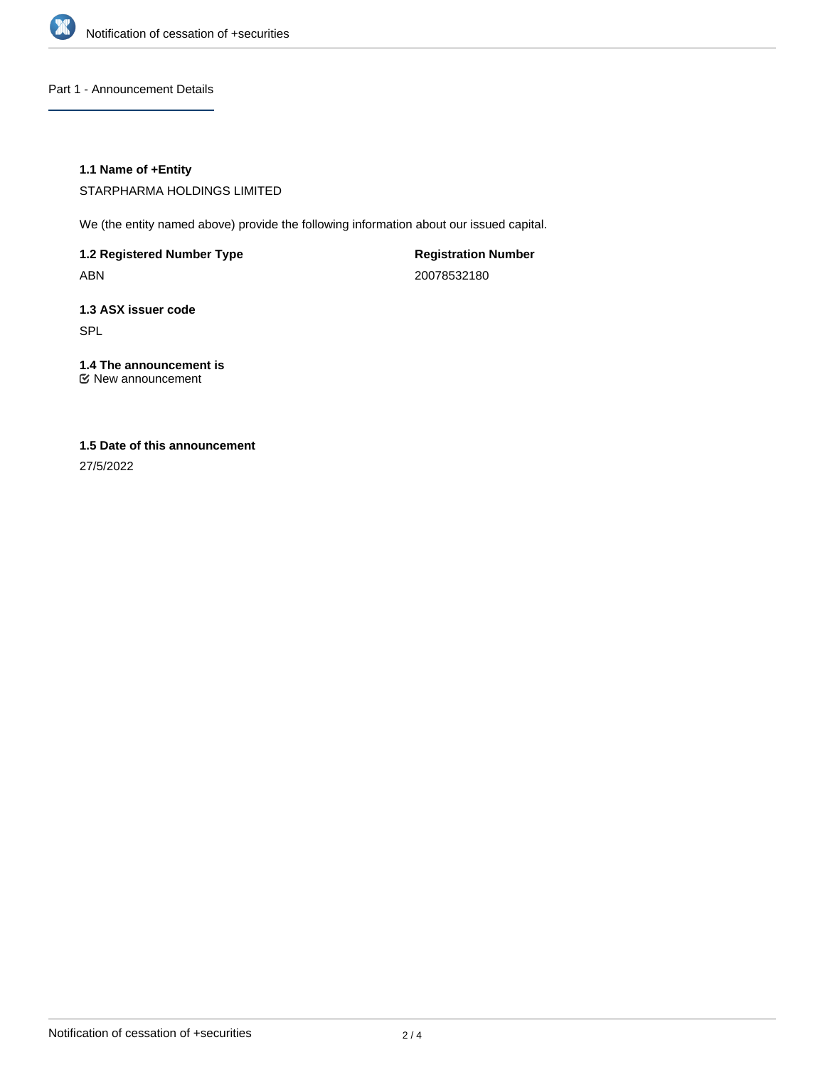

Part 1 - Announcement Details

### **1.1 Name of +Entity**

STARPHARMA HOLDINGS LIMITED

We (the entity named above) provide the following information about our issued capital.

**1.2 Registered Number Type** ABN

**Registration Number** 20078532180

**1.3 ASX issuer code** SPL

**1.4 The announcement is** New announcement

# **1.5 Date of this announcement**

27/5/2022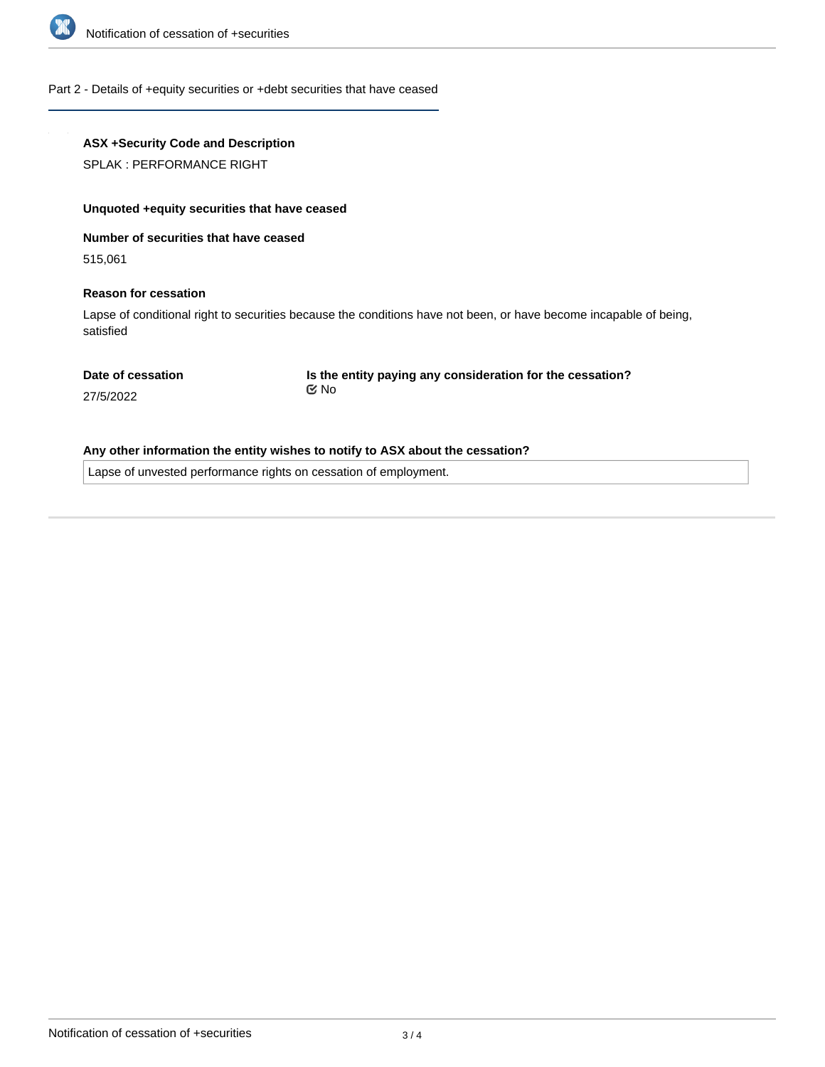

#### Part 2 - Details of +equity securities or +debt securities that have ceased

## **ASX +Security Code and Description**

SPLAK : PERFORMANCE RIGHT

#### **Unquoted +equity securities that have ceased**

**Number of securities that have ceased**

515,061

#### **Reason for cessation**

Lapse of conditional right to securities because the conditions have not been, or have become incapable of being, satisfied

#### **Date of cessation**

**Is the entity paying any consideration for the cessation?** No

27/5/2022

## **Any other information the entity wishes to notify to ASX about the cessation?**

Lapse of unvested performance rights on cessation of employment.